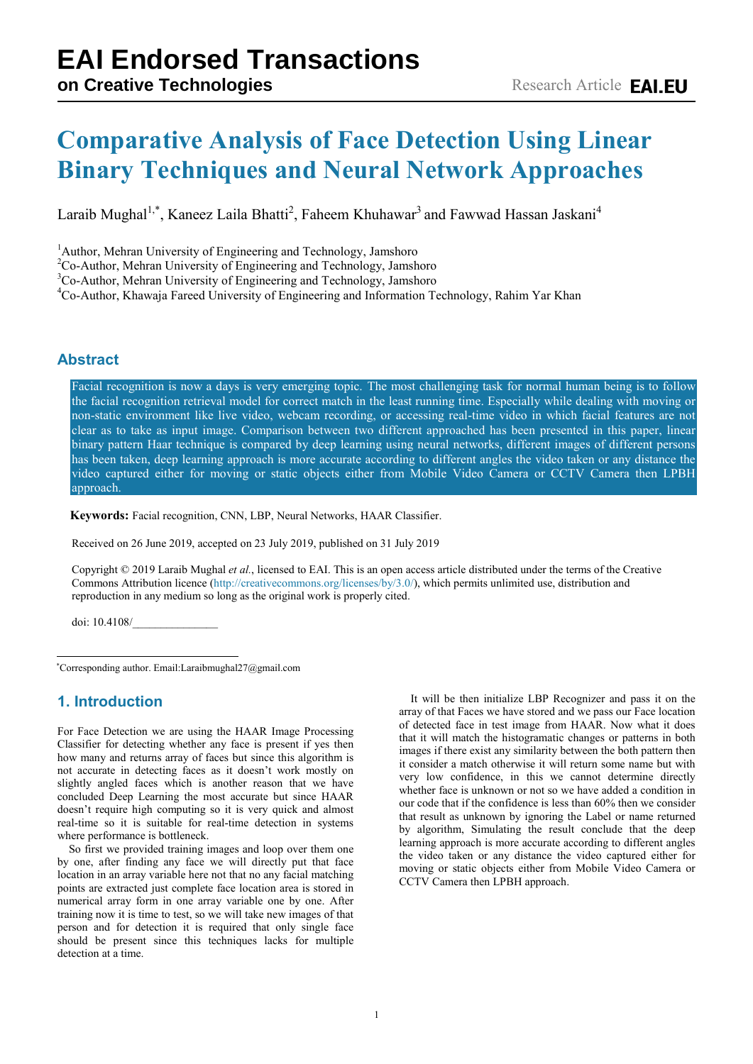# **Comparative Analysis of Face Detection Using Linear Binary Techniques and Neural Network Approaches**

Laraib Mughal<sup>1,\*</sup>, Kaneez Laila Bhatti<sup>2</sup>, Faheem Khuhawar<sup>3</sup> and Fawwad Hassan Jaskani<sup>4</sup>

<sup>1</sup>Author, Mehran University of Engineering and Technology, Jamshoro

<sup>2</sup>Co-Author, Mehran University of Engineering and Technology, Jamshoro

 $3^3$ Co-Author, Mehran University of Engineering and Technology, Jamshoro

<sup>4</sup>Co-Author, Khawaja Fareed University of Engineering and Information Technology, Rahim Yar Khan

# **Abstract**

Facial recognition is now a days is very emerging topic. The most challenging task for normal human being is to follow the facial recognition retrieval model for correct match in the least running time. Especially while dealing with moving or non-static environment like live video, webcam recording, or accessing real-time video in which facial features are not clear as to take as input image. Comparison between two different approached has been presented in this paper, linear binary pattern Haar technique is compared by deep learning using neural networks, different images of different persons has been taken, deep learning approach is more accurate according to different angles the video taken or any distance the video captured either for moving or static objects either from Mobile Video Camera or CCTV Camera then LPBH approach.

**Keywords:** Facial recognition, CNN, LBP, Neural Networks, HAAR Classifier.

Received on 26 June 2019, accepted on 23 July 2019, published on 31 July 2019

Copyright © 2019 Laraib Mughal *et al.*, licensed to EAI. This is an open access article distributed under the terms of the Creative Commons Attribution licence [\(http://creativecommons.org/licenses/by/3.0/\)](http://creativecommons.org/licenses/by/3.0/), which permits unlimited use, distribution and reproduction in any medium so long as the original work is properly cited.

doi: 10.4108/\_\_\_\_\_\_\_\_\_\_\_\_\_\_\_

\*Corresponding author. Email:Laraibmughal27@gmail.com

# **1. Introduction**

For Face Detection we are using the HAAR Image Processing Classifier for detecting whether any face is present if yes then how many and returns array of faces but since this algorithm is not accurate in detecting faces as it doesn't work mostly on slightly angled faces which is another reason that we have concluded Deep Learning the most accurate but since HAAR doesn't require high computing so it is very quick and almost real-time so it is suitable for real-time detection in systems where performance is bottleneck.

 So first we provided training images and loop over them one by one, after finding any face we will directly put that face location in an array variable here not that no any facial matching points are extracted just complete face location area is stored in numerical array form in one array variable one by one. After training now it is time to test, so we will take new images of that person and for detection it is required that only single face should be present since this techniques lacks for multiple detection at a time.

 It will be then initialize LBP Recognizer and pass it on the array of that Faces we have stored and we pass our Face location of detected face in test image from HAAR. Now what it does that it will match the histogramatic changes or patterns in both images if there exist any similarity between the both pattern then it consider a match otherwise it will return some name but with very low confidence, in this we cannot determine directly whether face is unknown or not so we have added a condition in our code that if the confidence is less than 60% then we consider that result as unknown by ignoring the Label or name returned by algorithm, Simulating the result conclude that the deep learning approach is more accurate according to different angles the video taken or any distance the video captured either for moving or static objects either from Mobile Video Camera or CCTV Camera then LPBH approach.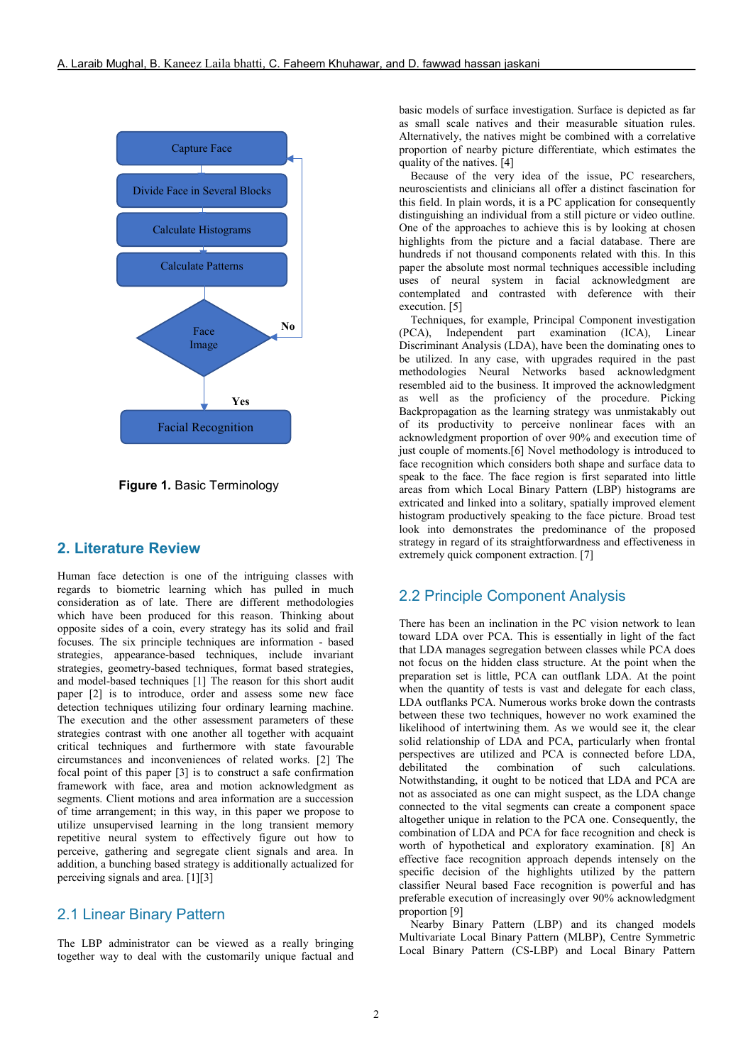

**Figure 1***.* Basic Terminology

## **2. Literature Review**

Human face detection is one of the intriguing classes with regards to biometric learning which has pulled in much consideration as of late. There are different methodologies which have been produced for this reason. Thinking about opposite sides of a coin, every strategy has its solid and frail focuses. The six principle techniques are information - based strategies, appearance-based techniques, include invariant strategies, geometry-based techniques, format based strategies, and model-based techniques [1] The reason for this short audit paper [2] is to introduce, order and assess some new face detection techniques utilizing four ordinary learning machine. The execution and the other assessment parameters of these strategies contrast with one another all together with acquaint critical techniques and furthermore with state favourable circumstances and inconveniences of related works. [2] The focal point of this paper [3] is to construct a safe confirmation framework with face, area and motion acknowledgment as segments. Client motions and area information are a succession of time arrangement; in this way, in this paper we propose to utilize unsupervised learning in the long transient memory repetitive neural system to effectively figure out how to perceive, gathering and segregate client signals and area. In addition, a bunching based strategy is additionally actualized for perceiving signals and area. [1][3]

## 2.1 Linear Binary Pattern

The LBP administrator can be viewed as a really bringing together way to deal with the customarily unique factual and

basic models of surface investigation. Surface is depicted as far as small scale natives and their measurable situation rules. Alternatively, the natives might be combined with a correlative proportion of nearby picture differentiate, which estimates the quality of the natives. [4]

 Because of the very idea of the issue, PC researchers, neuroscientists and clinicians all offer a distinct fascination for this field. In plain words, it is a PC application for consequently distinguishing an individual from a still picture or video outline. One of the approaches to achieve this is by looking at chosen highlights from the picture and a facial database. There are hundreds if not thousand components related with this. In this paper the absolute most normal techniques accessible including uses of neural system in facial acknowledgment are contemplated and contrasted with deference with their execution. [5]

 Techniques, for example, Principal Component investigation (PCA), Independent part examination (ICA), Linear Discriminant Analysis (LDA), have been the dominating ones to be utilized. In any case, with upgrades required in the past methodologies Neural Networks based acknowledgment resembled aid to the business. It improved the acknowledgment as well as the proficiency of the procedure. Picking Backpropagation as the learning strategy was unmistakably out of its productivity to perceive nonlinear faces with an acknowledgment proportion of over 90% and execution time of just couple of moments.[6] Novel methodology is introduced to face recognition which considers both shape and surface data to speak to the face. The face region is first separated into little areas from which Local Binary Pattern (LBP) histograms are extricated and linked into a solitary, spatially improved element histogram productively speaking to the face picture. Broad test look into demonstrates the predominance of the proposed strategy in regard of its straightforwardness and effectiveness in extremely quick component extraction. [7]

# 2.2 Principle Component Analysis

There has been an inclination in the PC vision network to lean toward LDA over PCA. This is essentially in light of the fact that LDA manages segregation between classes while PCA does not focus on the hidden class structure. At the point when the preparation set is little, PCA can outflank LDA. At the point when the quantity of tests is vast and delegate for each class, LDA outflanks PCA. Numerous works broke down the contrasts between these two techniques, however no work examined the likelihood of intertwining them. As we would see it, the clear solid relationship of LDA and PCA, particularly when frontal perspectives are utilized and PCA is connected before LDA, debilitated the combination of such calculations. Notwithstanding, it ought to be noticed that LDA and PCA are not as associated as one can might suspect, as the LDA change connected to the vital segments can create a component space altogether unique in relation to the PCA one. Consequently, the combination of LDA and PCA for face recognition and check is worth of hypothetical and exploratory examination. [8] An effective face recognition approach depends intensely on the specific decision of the highlights utilized by the pattern classifier Neural based Face recognition is powerful and has preferable execution of increasingly over 90% acknowledgment proportion [9]

 Nearby Binary Pattern (LBP) and its changed models Multivariate Local Binary Pattern (MLBP), Centre Symmetric Local Binary Pattern (CS-LBP) and Local Binary Pattern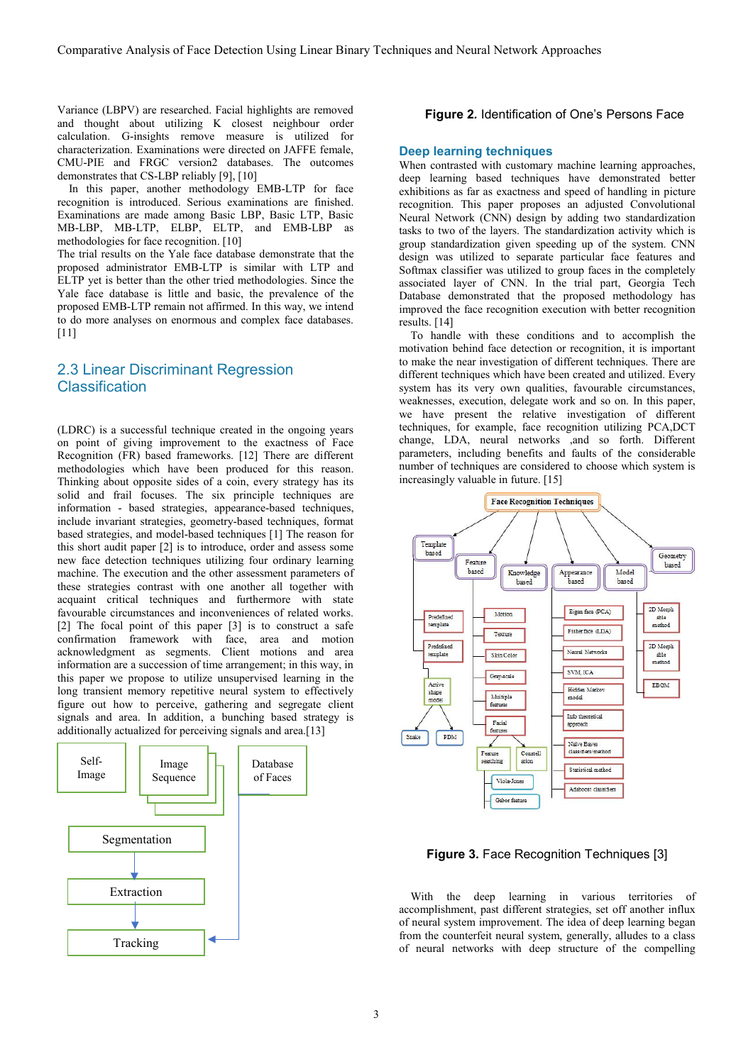Variance (LBPV) are researched. Facial highlights are removed and thought about utilizing K closest neighbour order calculation. G-insights remove measure is utilized for characterization. Examinations were directed on JAFFE female, CMU-PIE and FRGC version2 databases. The outcomes demonstrates that CS-LBP reliably [9], [10]

 In this paper, another methodology EMB-LTP for face recognition is introduced. Serious examinations are finished. Examinations are made among Basic LBP, Basic LTP, Basic MB-LBP, MB-LTP, ELBP, ELTP, and EMB-LBP as methodologies for face recognition. [10]

The trial results on the Yale face database demonstrate that the proposed administrator EMB-LTP is similar with LTP and ELTP yet is better than the other tried methodologies. Since the Yale face database is little and basic, the prevalence of the proposed EMB-LTP remain not affirmed. In this way, we intend to do more analyses on enormous and complex face databases. [11]

# 2.3 Linear Discriminant Regression **Classification**

(LDRC) is a successful technique created in the ongoing years on point of giving improvement to the exactness of Face Recognition (FR) based frameworks. [12] There are different methodologies which have been produced for this reason. Thinking about opposite sides of a coin, every strategy has its solid and frail focuses. The six principle techniques are information - based strategies, appearance-based techniques, include invariant strategies, geometry-based techniques, format based strategies, and model-based techniques [1] The reason for this short audit paper [2] is to introduce, order and assess some new face detection techniques utilizing four ordinary learning machine. The execution and the other assessment parameters of these strategies contrast with one another all together with acquaint critical techniques and furthermore with state favourable circumstances and inconveniences of related works. [2] The focal point of this paper [3] is to construct a safe confirmation framework with face, area and motion acknowledgment as segments. Client motions and area information are a succession of time arrangement; in this way, in this paper we propose to utilize unsupervised learning in the long transient memory repetitive neural system to effectively figure out how to perceive, gathering and segregate client signals and area. In addition, a bunching based strategy is additionally actualized for perceiving signals and area.[13]



## **Figure 2***.* Identification of One's Persons Face

#### **Deep learning techniques**

When contrasted with customary machine learning approaches, deep learning based techniques have demonstrated better exhibitions as far as exactness and speed of handling in picture recognition. This paper proposes an adjusted Convolutional Neural Network (CNN) design by adding two standardization tasks to two of the layers. The standardization activity which is group standardization given speeding up of the system. CNN design was utilized to separate particular face features and Softmax classifier was utilized to group faces in the completely associated layer of CNN. In the trial part, Georgia Tech Database demonstrated that the proposed methodology has improved the face recognition execution with better recognition results. [14]

 To handle with these conditions and to accomplish the motivation behind face detection or recognition, it is important to make the near investigation of different techniques. There are different techniques which have been created and utilized. Every system has its very own qualities, favourable circumstances, weaknesses, execution, delegate work and so on. In this paper, we have present the relative investigation of different techniques, for example, face recognition utilizing PCA,DCT change, LDA, neural networks ,and so forth. Different parameters, including benefits and faults of the considerable number of techniques are considered to choose which system is increasingly valuable in future. [15]



**Figure 3***.* Face Recognition Techniques [3]

 With the deep learning in various territories of accomplishment, past different strategies, set off another influx of neural system improvement. The idea of deep learning began from the counterfeit neural system, generally, alludes to a class of neural networks with deep structure of the compelling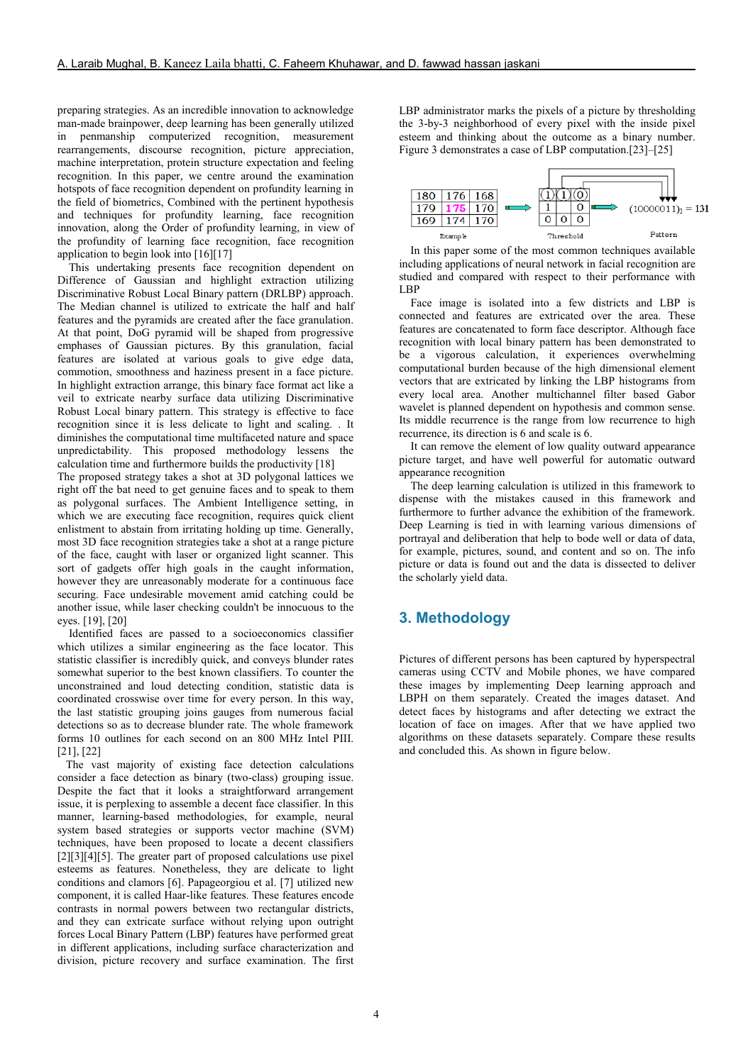preparing strategies. As an incredible innovation to acknowledge man-made brainpower, deep learning has been generally utilized in penmanship computerized recognition, measurement rearrangements, discourse recognition, picture appreciation, machine interpretation, protein structure expectation and feeling recognition. In this paper, we centre around the examination hotspots of face recognition dependent on profundity learning in the field of biometrics, Combined with the pertinent hypothesis and techniques for profundity learning, face recognition innovation, along the Order of profundity learning, in view of the profundity of learning face recognition, face recognition application to begin look into [16][17]

 This undertaking presents face recognition dependent on Difference of Gaussian and highlight extraction utilizing Discriminative Robust Local Binary pattern (DRLBP) approach. The Median channel is utilized to extricate the half and half features and the pyramids are created after the face granulation. At that point, DoG pyramid will be shaped from progressive emphases of Gaussian pictures. By this granulation, facial features are isolated at various goals to give edge data, commotion, smoothness and haziness present in a face picture. In highlight extraction arrange, this binary face format act like a veil to extricate nearby surface data utilizing Discriminative Robust Local binary pattern. This strategy is effective to face recognition since it is less delicate to light and scaling. . It diminishes the computational time multifaceted nature and space unpredictability. This proposed methodology lessens the calculation time and furthermore builds the productivity [18]

The proposed strategy takes a shot at 3D polygonal lattices we right off the bat need to get genuine faces and to speak to them as polygonal surfaces. The Ambient Intelligence setting, in which we are executing face recognition, requires quick client enlistment to abstain from irritating holding up time. Generally, most 3D face recognition strategies take a shot at a range picture of the face, caught with laser or organized light scanner. This sort of gadgets offer high goals in the caught information, however they are unreasonably moderate for a continuous face securing. Face undesirable movement amid catching could be another issue, while laser checking couldn't be innocuous to the eyes. [19], [20]

 Identified faces are passed to a socioeconomics classifier which utilizes a similar engineering as the face locator. This statistic classifier is incredibly quick, and conveys blunder rates somewhat superior to the best known classifiers. To counter the unconstrained and loud detecting condition, statistic data is coordinated crosswise over time for every person. In this way, the last statistic grouping joins gauges from numerous facial detections so as to decrease blunder rate. The whole framework forms 10 outlines for each second on an 800 MHz Intel PIII. [21], [22]

 The vast majority of existing face detection calculations consider a face detection as binary (two-class) grouping issue. Despite the fact that it looks a straightforward arrangement issue, it is perplexing to assemble a decent face classifier. In this manner, learning-based methodologies, for example, neural system based strategies or supports vector machine (SVM) techniques, have been proposed to locate a decent classifiers [2][3][4][5]. The greater part of proposed calculations use pixel esteems as features. Nonetheless, they are delicate to light conditions and clamors [6]. Papageorgiou et al. [7] utilized new component, it is called Haar-like features. These features encode contrasts in normal powers between two rectangular districts, and they can extricate surface without relying upon outright forces Local Binary Pattern (LBP) features have performed great in different applications, including surface characterization and division, picture recovery and surface examination. The first LBP administrator marks the pixels of a picture by thresholding the 3-by-3 neighborhood of every pixel with the inside pixel esteem and thinking about the outcome as a binary number. Figure 3 demonstrates a case of LBP computation.[23]–[25]



 In this paper some of the most common techniques available including applications of neural network in facial recognition are studied and compared with respect to their performance with LBP

 Face image is isolated into a few districts and LBP is connected and features are extricated over the area. These features are concatenated to form face descriptor. Although face recognition with local binary pattern has been demonstrated to be a vigorous calculation, it experiences overwhelming computational burden because of the high dimensional element vectors that are extricated by linking the LBP histograms from every local area. Another multichannel filter based Gabor wavelet is planned dependent on hypothesis and common sense. Its middle recurrence is the range from low recurrence to high recurrence, its direction is 6 and scale is 6.

 It can remove the element of low quality outward appearance picture target, and have well powerful for automatic outward appearance recognition

 The deep learning calculation is utilized in this framework to dispense with the mistakes caused in this framework and furthermore to further advance the exhibition of the framework. Deep Learning is tied in with learning various dimensions of portrayal and deliberation that help to bode well or data of data, for example, pictures, sound, and content and so on. The info picture or data is found out and the data is dissected to deliver the scholarly yield data.

# **3. Methodology**

Pictures of different persons has been captured by hyperspectral cameras using CCTV and Mobile phones, we have compared these images by implementing Deep learning approach and LBPH on them separately. Created the images dataset. And detect faces by histograms and after detecting we extract the location of face on images. After that we have applied two algorithms on these datasets separately. Compare these results and concluded this. As shown in figure below.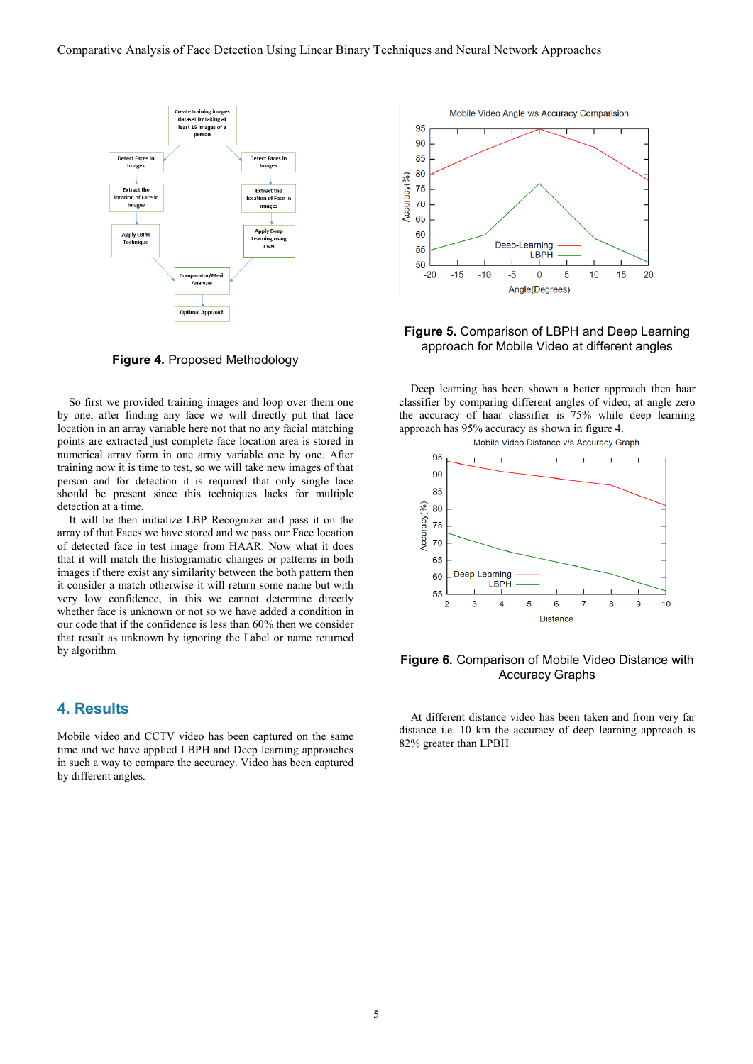

**Figure 4***.* Proposed Methodology

 So first we provided training images and loop over them one by one, after finding any face we will directly put that face location in an array variable here not that no any facial matching points are extracted just complete face location area is stored in numerical array form in one array variable one by one. After training now it is time to test, so we will take new images of that person and for detection it is required that only single face should be present since this techniques lacks for multiple detection at a time.

 It will be then initialize LBP Recognizer and pass it on the array of that Faces we have stored and we pass our Face location of detected face in test image from HAAR. Now what it does that it will match the histogramatic changes or patterns in both images if there exist any similarity between the both pattern then it consider a match otherwise it will return some name but with very low confidence, in this we cannot determine directly whether face is unknown or not so we have added a condition in our code that if the confidence is less than 60% then we consider that result as unknown by ignoring the Label or name returned by algorithm

## **4. Results**

Mobile video and CCTV video has been captured on the same time and we have applied LBPH and Deep learning approaches in such a way to compare the accuracy. Video has been captured by different angles.



**Figure 5.** Comparison of LBPH and Deep Learning approach for Mobile Video at different angles

 Deep learning has been shown a better approach then haar classifier by comparing different angles of video, at angle zero the accuracy of haar classifier is 75% while deep learning approach has 95% accuracy as shown in figure 4.



**Figure 6***.* Comparison of Mobile Video Distance with Accuracy Graphs

 At different distance video has been taken and from very far distance i.e. 10 km the accuracy of deep learning approach is 82% greater than LPBH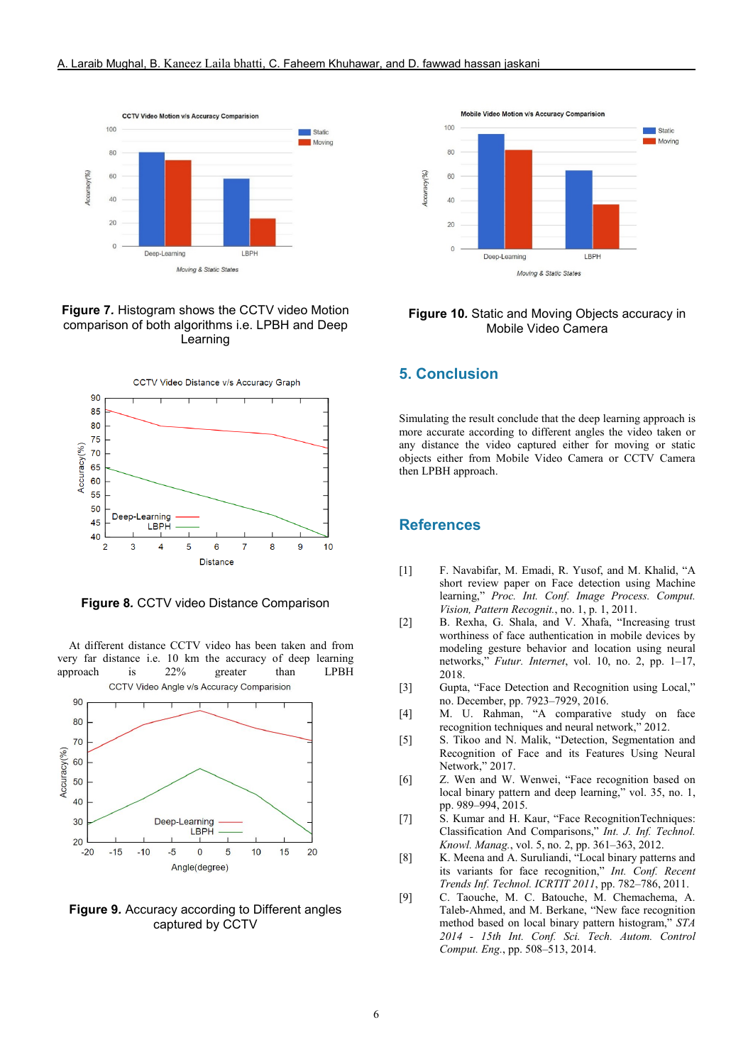

## **Figure 7***.* Histogram shows the CCTV video Motion comparison of both algorithms i.e. LPBH and Deep Learning



**Figure 8***.* CCTV video Distance Comparison

 At different distance CCTV video has been taken and from very far distance i.e. 10 km the accuracy of deep learning approach is 22% greater than LPBH



**Figure 9***.* Accuracy according to Different angles captured by CCTV



## **Figure 10***.* Static and Moving Objects accuracy in Mobile Video Camera

## **5. Conclusion**

Simulating the result conclude that the deep learning approach is more accurate according to different angles the video taken or any distance the video captured either for moving or static objects either from Mobile Video Camera or CCTV Camera then LPBH approach.

## **References**

- [1] F. Navabifar, M. Emadi, R. Yusof, and M. Khalid, "A short review paper on Face detection using Machine learning," *Proc. Int. Conf. Image Process. Comput. Vision, Pattern Recognit.*, no. 1, p. 1, 2011.
- [2] B. Rexha, G. Shala, and V. Xhafa, "Increasing trust worthiness of face authentication in mobile devices by modeling gesture behavior and location using neural networks," *Futur. Internet*, vol. 10, no. 2, pp. 1–17, 2018.
- [3] Gupta, "Face Detection and Recognition using Local," no. December, pp. 7923–7929, 2016.
- [4] M. U. Rahman, "A comparative study on face recognition techniques and neural network," 2012.
- [5] S. Tikoo and N. Malik, "Detection, Segmentation and Recognition of Face and its Features Using Neural Network," 2017.
- [6] Z. Wen and W. Wenwei, "Face recognition based on local binary pattern and deep learning," vol. 35, no. 1, pp. 989–994, 2015.
- [7] S. Kumar and H. Kaur, "Face RecognitionTechniques: Classification And Comparisons," *Int. J. Inf. Technol. Knowl. Manag.*, vol. 5, no. 2, pp. 361–363, 2012.
- [8] K. Meena and A. Suruliandi, "Local binary patterns and its variants for face recognition," *Int. Conf. Recent Trends Inf. Technol. ICRTIT 2011*, pp. 782–786, 2011.
- [9] C. Taouche, M. C. Batouche, M. Chemachema, A. Taleb-Ahmed, and M. Berkane, "New face recognition method based on local binary pattern histogram," *STA 2014 - 15th Int. Conf. Sci. Tech. Autom. Control Comput. Eng.*, pp. 508–513, 2014.